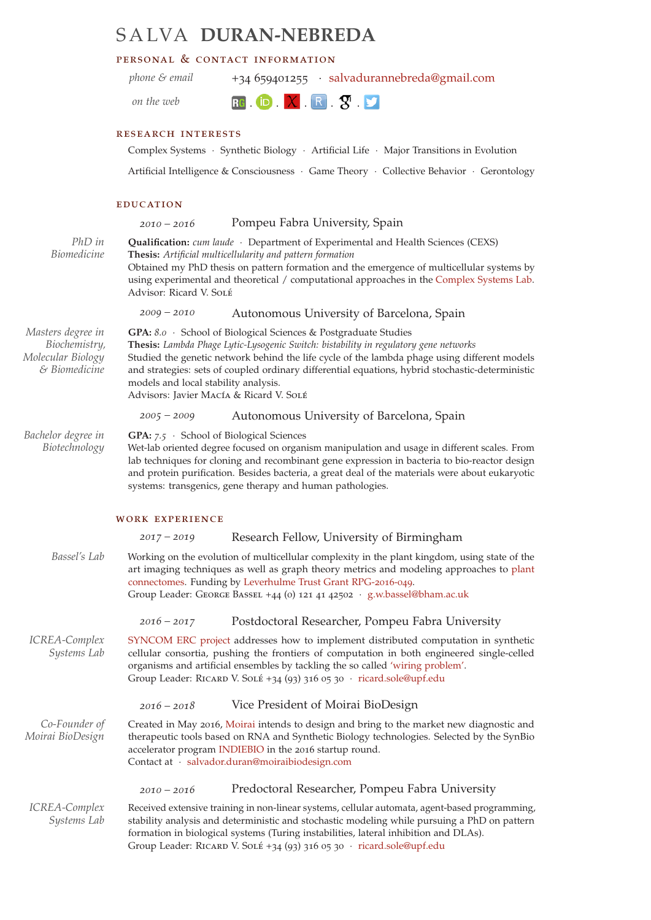# S A LVA **DURAN-NEBREDA**

## personal & contact information

*phone & email* +34 659401255 · [salvadurannebreda@gmail.com](mailto:salvadurannebreda@gmail.com)

*on the web*

**RG iD X R S P** 

### research interests

Complex Systems · Synthetic Biology · Artificial Life · Major Transitions in Evolution

Artificial Intelligence & Consciousness · Game Theory · Collective Behavior · Gerontology

#### **EDUCATION**

*2010 – 2016* Pompeu Fabra University, Spain *PhD in* **Qualification:** *cum laude* · Department of Experimental and Health Sciences (CEXS) *Biomedicine* **Thesis:** *Artificial multicellularity and pattern formation* Obtained my PhD thesis on pattern formation and the emergence of multicellular systems by using experimental and theoretical / computational approaches in the [Complex Systems Lab.](http://complex.upf.edu) Advisor: Ricard V. Solé *2009 – 2010* Autonomous University of Barcelona, Spain *Masters degree in* **GPA:** *8.0* · School of Biological Sciences & Postgraduate Studies *Biochemistry, Molecular Biology & Biomedicine* **Thesis:** *Lambda Phage Lytic-Lysogenic Switch: bistability in regulatory gene networks* Studied the genetic network behind the life cycle of the lambda phage using different models and strategies: sets of coupled ordinary differential equations, hybrid stochastic-deterministic models and local stability analysis. Advisors: Javier Macía & Ricard V. Solé *2005 – 2009* Autonomous University of Barcelona, Spain *Bachelor degree in* **GPA:** *7.5* · School of Biological Sciences *Biotechnology* Wet-lab oriented degree focused on organism manipulation and usage in different scales. From lab techniques for cloning and recombinant gene expression in bacteria to bio-reactor design and protein purification. Besides bacteria, a great deal of the materials were about eukaryotic systems: transgenics, gene therapy and human pathologies. work experience *2017 – 2019* Research Fellow, University of Birmingham *Bassel's Lab* Working on the evolution of multicellular complexity in the plant kingdom, using state of the art imaging techniques as well as graph theory metrics and modeling approaches to [plant](http://www.georgebassellab.com/) [connectomes.](http://www.georgebassellab.com/) Funding by [Leverhulme Trust Grant RPG-](https://www.leverhulme.ac.uk/awards-made/recent-awards)2016-049. Group Leader: George Bassel +44 (0) 121 41 42502 · [g.w.bassel@bham.ac.uk](mailto:g.w.bassel@bham.ac.uk) *2016 – 2017* Postdoctoral Researcher, Pompeu Fabra University *ICREA-Complex* [SYNCOM ERC project](http://cordis.europa.eu/project/rcn/104181_en.html) addresses how to implement distributed computation in synthetic *Systems Lab* cellular consortia, pushing the frontiers of computation in both engineered single-celled organisms and artificial ensembles by tackling the so called ['wiring problem'.](http://www.nature.com/news/2010/100120/full/463288a.html) Group Leader: RICARD V. SOLÉ +34 (93) 316 05 30 · [ricard.sole@upf.edu](mailto:ricard.sole@upf.edu) *2016 – 2018* Vice President of Moirai BioDesign *Co-Founder of* Created in May 2016, [Moirai](http://moiraibiodesign.com/) intends to design and bring to the market new diagnostic and *Moirai BioDesign* therapeutic tools based on RNA and Synthetic Biology technologies. Selected by the SynBio accelerator program [INDIEBIO](https://eu.indiebio.co/) in the 2016 startup round. Contact at · [salvador.duran@moiraibiodesign.com](mailto:salvador.duran@moiraibiodesign.com) *2010 – 2016* Predoctoral Researcher, Pompeu Fabra University *ICREA-Complex* Received extensive training in non-linear systems, cellular automata, agent-based programming, *Systems Lab* stability analysis and deterministic and stochastic modeling while pursuing a PhD on pattern formation in biological systems (Turing instabilities, lateral inhibition and DLAs).

Group Leader: RICARD V. SOLÉ +34 (93) 316 05 30 · [ricard.sole@upf.edu](mailto:ricard.sole@upf.edu)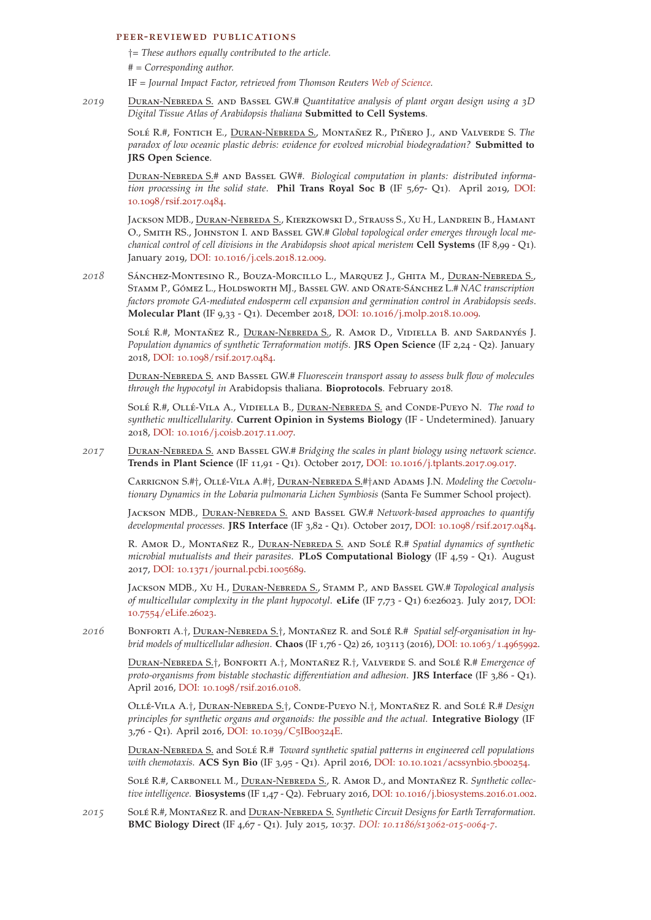#### peer-reviewed publications

†= *These authors equally contributed to the article.*

# = *Corresponding author.*

IF = *Journal Impact Factor, retrieved from Thomson Reuters [Web of Science.](http://thomsonreuters.com/thomson-reuters-web-of-science/)*

*2019* Duran-Nebreda S. and Bassel GW.# *Quantitative analysis of plant organ design using a 3D Digital Tissue Atlas of Arabidopsis thaliana* **Submitted to Cell Systems**.

SOLÉ R.#, FONTICH E., *DURAN-NEBREDA S., MONTAÑEZ R., PIÑERO J., AND VALVERDE S. The paradox of low oceanic plastic debris: evidence for evolved microbial biodegradation?* **Submitted to JRS Open Science**.

Duran-Nebreda S.# and Bassel GW#. *Biological computation in plants: distributed information processing in the solid state*. **Phil Trans Royal Soc B** (IF 5,67- Q1). April 2019, [DOI:](http://dx.doi.org/10.1098/rsif.2017.0484) 10.1098[/rsif.](http://dx.doi.org/10.1098/rsif.2017.0484)2017.0484.

Jackson MDB., Duran-Nebreda S., Kierzkowski D., Strauss S., Xu H., Landrein B., Hamant O., Smith RS., Johnston I. and Bassel GW.# *Global topological order emerges through local mechanical control of cell divisions in the Arabidopsis shoot apical meristem* **Cell Systems** (IF 8,99 - Q1). January 2019, DOI: 10.1016[/j.cels.](https://doi.org/10.1016/j.cels.2018.12.009)2018.12.009.

2018 SÁNCHEZ-MONTESINO R., BOUZA-MORCILLO L., MARQUEZ J., GHITA M., DURAN-NEBREDA S., STAMM P., GÓMEZ L., HOLDSWORTH MJ., BASSEL GW. AND OÑATE-SÁNCHEZ L.# NAC transcription *factors promote GA-mediated endosperm cell expansion and germination control in Arabidopsis seeds*. **Molecular Plant** (IF 9,33 - Q1). December 2018, DOI: 10.1016[/j.molp.](https://doi.org/10.1016/j.molp.2018.10.009)2018.10.009.

SOLÉ R.#, MONTAÑEZ R., DURAN-NEBREDA S., R. AMOR D., VIDIELLA B. AND SARDANYÉS J. *Population dynamics of synthetic Terraformation motifs*. **JRS Open Science** (IF 2,24 - Q2). January 2018, DOI: 10.1098[/rsif.](http://dx.doi.org/10.1098/rsif.2017.0484)2017.0484.

Duran-Nebreda S. and Bassel GW.# *Fluorescein transport assay to assess bulk flow of molecules through the hypocotyl in* Arabidopsis thaliana. **Bioprotocols**. February 2018.

Sole´ R.#, Olle´-Vila A., Vidiella B., Duran-Nebreda S. and Conde-Pueyo N. *The road to synthetic multicellularity*. **Current Opinion in Systems Biology** (IF - Undetermined). January 2018, DOI: 10.1016[/j.coisb.](https://doi.org/10.1016/j.coisb.2017.11.007)2017.11.007.

*2017* Duran-Nebreda S. and Bassel GW.# *Bridging the scales in plant biology using network science*. **Trends in Plant Science** (IF 11,91 - Q1). October 2017, DOI: 10.1016[/j.tplants.](http://dx.doi.org/10.1016/j.tplants.2017.09.017)2017.09.017.

Carrignon S.#†, Olle´-Vila A.#†, Duran-Nebreda S.#†and Adams J.N. *Modeling the Coevolutionary Dynamics in the Lobaria pulmonaria Lichen Symbiosis* (Santa Fe Summer School project).

Jackson MDB., Duran-Nebreda S. and Bassel GW.# *Network-based approaches to quantify developmental processes*. **JRS Interface** (IF 3,82 - Q1). October 2017, DOI: 10.1098[/rsif.](http://dx.doi.org/10.1098/rsif.2017.0484)2017.0484.

R. AMOR D., MONTAÑEZ R., DURAN-NEBREDA S. AND SOLÉ R.# Spatial dynamics of synthetic *microbial mutualists and their parasites*. **PLoS Computational Biology** (IF 4,59 - Q1). August 2017, DOI: 10.1371[/journal.pcbi.](https://doi.org/10.1371/journal.pcbi.1005689)1005689.

Jackson MDB., Xu H., Duran-Nebreda S., Stamm P., and Bassel GW.# *Topological analysis of multicellular complexity in the plant hypocotyl*. **eLife** (IF 7,73 - Q1) 6:e26023. July 2017, [DOI:](http://doi.org/10.7554/eLife.26023) 10.7554[/eLife.](http://doi.org/10.7554/eLife.26023)26023.

2016 BONFORTI A.<sup>†</sup>, DURAN-NEBREDA S.<sup>†</sup>, MONTAÑEZ R. and SOLÉ R.# *Spatial self-organisation in hybrid models of multicellular adhesion*. **Chaos** (IF 1,76 - Q2) 26, 103113 (2016), DOI: 10.1063/1.[4965992](http://doi.org/10.1063/1.4965992).

Duran-Nebreda S.†, Bonforti A.†, Montanez ˜ R.†, Valverde S. and Sole´ R.# *Emergence of proto-organisms from bistable stochastic differentiation and adhesion*. **JRS Interface** (IF 3,86 - Q1). April 2016, DOI: 10.1098[/rsif.](http://doi.org/10.1098/rsif.2016.0108)2016.0108.

Olle´-Vila A.†, Duran-Nebreda S.†, Conde-Pueyo N.†, Montanez ˜ R. and Sole´ R.# *Design principles for synthetic organs and organoids: the possible and the actual.* **Integrative Biology** (IF 3,76 - Q1). April 2016, [DOI:](http://doi.org/10.1039/C5IB00324E) 10.1039/C5IB00324E.

Duran-Nebreda S. and Sole´ R.# *Toward synthetic spatial patterns in engineered cell populations with chemotaxis.* **ACS Syn Bio** (IF 3,95 - Q1). April 2016, DOI: 10.10.1021[/acssynbio.](http://doi.org/10.1021/acssynbio.5b00254)5b00254.

SOLÉ R.#, CARBONELL M., DURAN-NEBREDA S., R. AMOR D., and MONTAÑEZ R. Synthetic collec*tive intelligence.* **Biosystems** (IF 1,47 - Q2). February 2016, DOI: 10.1016[/j.biosystems.](http://doi.org/10.1016/j.biosystems.2016.01.002)2016.01.002.

*2015* Sole´ R.#, Montanez ˜ R. and Duran-Nebreda S. *Synthetic Circuit Designs for Earth Terraformation.* **BMC Biology Direct** (IF 4,67 - Q1). July 2015, 10:37. *DOI: 10.1186/s[13062](http://doi.org/10.1186/s13062-015-0064-7)-015-0064-7*.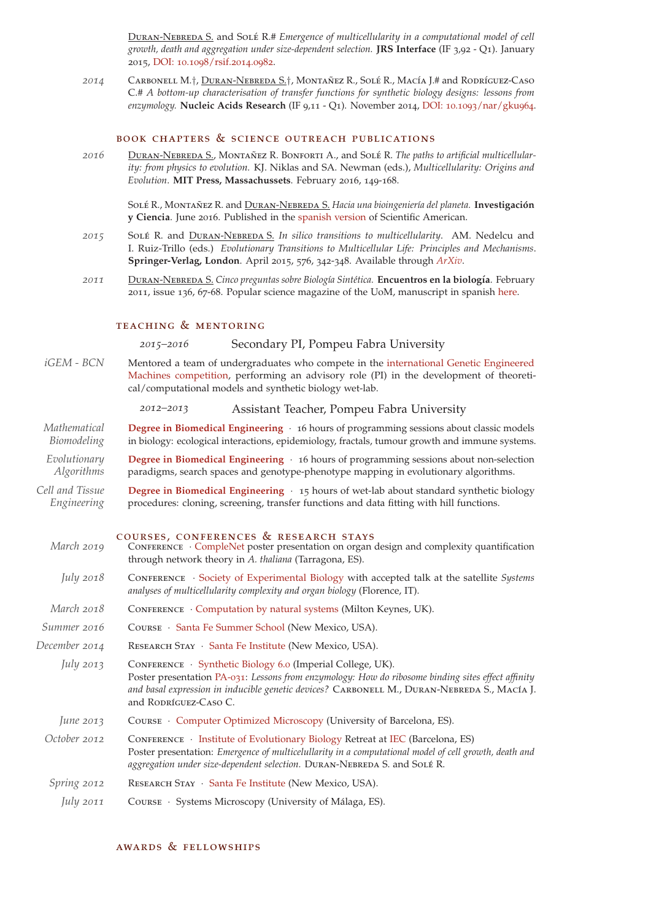Duran-Nebreda S. and Sole´ R.# *Emergence of multicellularity in a computational model of cell growth, death and aggregation under size-dependent selection.* **JRS Interface** (IF 3,92 - Q1). January 2015, DOI: 10.1098[/rsif.](http://dx.doi.org/10.1098/rsif.2014.0982)2014.0982.

2014 CARBONELL M.<sup>†</sup>, DURAN-NEBREDA S.<sup>†</sup>, MONTAÑEZ R., SOLÉ R., MACÍA J.# and RODRÍGUEZ-CASO C.# *A bottom-up characterisation of transfer functions for synthetic biology designs: lessons from enzymology.* **Nucleic Acids Research** (IF 9,11 - Q1). November 2014, DOI: 10.1093[/nar/gku](http://dx.doi.org/10.1093/nar/gku964)964.

## book chapters & science outreach publications

*2016* Duran-Nebreda S., Montanez ˜ R. Bonforti A., and Sole´ R. *The paths to artificial multicellularity: from physics to evolution.* KJ. Niklas and SA. Newman (eds.), *Multicellularity: Origins and Evolution*. **MIT Press, Massachussets**. February 2016, 149-168.

Sole´ R., Montanez ˜ R. and Duran-Nebreda S. *Hacia una bioingenier´ıa del planeta.* **Investigacion´ y Ciencia**. June 2016. Published in the [spanish version](http://www.investigacionyciencia.es/revistas/investigacion-y-ciencia/numero/477/hacia-una-bioingeniera-del-planeta-14248) of Scientific American.

- *2015* Sole´ R. and Duran-Nebreda S. *In silico transitions to multicellularity*. AM. Nedelcu and I. Ruiz-Trillo (eds.) *Evolutionary Transitions to Multicellular Life: Principles and Mechanisms*. **Springer-Verlag, London**. April 2015, 576, 342-348. Available through *[ArXiv](http://arxiv.org/abs/1403.3217)*.
- *2011* Duran-Nebreda S. *Cinco preguntas sobre Biolog´ıa Sintetica. ´* **Encuentros en la biolog´ıa**. February 2011, issue 136, 67-68. Popular science magazine of the UoM, manuscript in spanish [here.](http://dialnet.unirioja.es/servlet/articulo?codigo=3825903)

#### teaching & mentoring

*2015–2016* Secondary PI, Pompeu Fabra University

*iGEM - BCN* [Mentored a team of undergraduates who compete in the](http://igem.org/About) [international Genetic Engineered](http://igem.org/About) [Machines competition,](http://igem.org/About) performing an advisory role (PI) in the development of theoretical/computational models and synthetic biology wet-lab.

*2012–2013* Assistant Teacher, Pompeu Fabra University

- *Mathematical* **[Degree in Biomedical Engineering](http://www.upf.edu/esup/en/titulacions/graus/grau-eng_biomedica/pla/)** · 16 hours of programming sessions about classic models *Biomodeling* in biology: ecological interactions, epidemiology, fractals, tumour growth and immune systems.
- *Evolutionary* **[Degree in Biomedical Engineering](http://www.upf.edu/esup/en/titulacions/graus/grau-eng_biomedica/pla/)** · 16 hours of programming sessions about non-selection *Algorithms* paradigms, search spaces and genotype-phenotype mapping in evolutionary algorithms.
- *Cell and Tissue* **[Degree in Biomedical Engineering](http://www.upf.edu/esup/en/titulacions/graus/grau-eng_biomedica/pla/)** · 15 hours of wet-lab about standard synthetic biology *Engineering* procedures: cloning, screening, transfer functions and data fitting with hill functions.

| March 2019       | COURSES, CONFERENCES & RESEARCH STAYS<br>CONFERENCE • CompleNet poster presentation on organ design and complexity quantification<br>through network theory in A. thaliana (Tarragona, ES).                                                                                              |
|------------------|------------------------------------------------------------------------------------------------------------------------------------------------------------------------------------------------------------------------------------------------------------------------------------------|
| <i>July</i> 2018 | CONFERENCE · Society of Experimental Biology with accepted talk at the satellite Systems<br>analyses of multicellularity complexity and organ biology (Florence, IT).                                                                                                                    |
| March 2018       | CONFERENCE $\cdot$ Computation by natural systems (Milton Keynes, UK).                                                                                                                                                                                                                   |
| Summer 2016      | COURSE · Santa Fe Summer School (New Mexico, USA).                                                                                                                                                                                                                                       |
| December 2014    | RESEARCH STAY · Santa Fe Institute (New Mexico, USA).                                                                                                                                                                                                                                    |
| July 2013        | CONFERENCE · Synthetic Biology 6.0 (Imperial College, UK).<br>Poster presentation PA-031: Lessons from enzymology: How do ribosome binding sites effect affinity<br>and basal expression in inducible genetic devices? CARBONELL M., DURAN-NEBREDA S., MACÍA J.<br>and RODRÍGUEZ-CASO C. |
| June $2013$      | COURSE • Computer Optimized Microscopy (University of Barcelona, ES).                                                                                                                                                                                                                    |
| October 2012     | CONFERENCE • Institute of Evolutionary Biology Retreat at IEC (Barcelona, ES)<br>Poster presentation: Emergence of multicelullarity in a computational model of cell growth, death and<br>aggregation under size-dependent selection. DURAN-NEBREDA S. and SOLÉ R.                       |

- *Spring* 2012 RESEARCH STAY · [Santa Fe Institute](http://www.santafe.edu/) (New Mexico, USA).
- *July 2011* Course · Systems Microscopy (University of Malaga, ES). ´